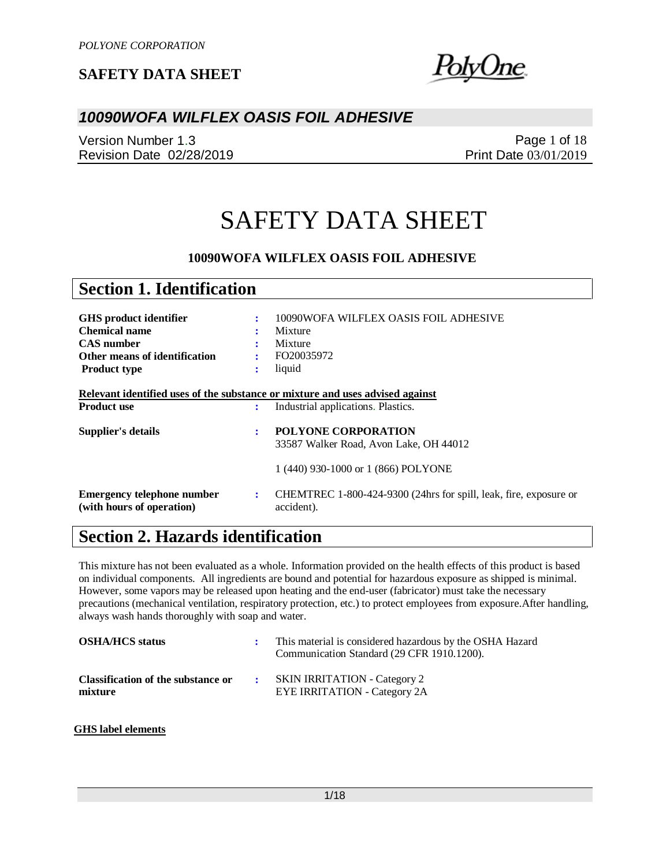)lyUne

### *10090WOFA WILFLEX OASIS FOIL ADHESIVE*

Version Number 1.3 Revision Date 02/28/2019

Page 1 of 18 Print Date 03/01/2019

# SAFETY DATA SHEET

#### **10090WOFA WILFLEX OASIS FOIL ADHESIVE**

| <b>Section 1. Identification</b>                                              |                |                                                                                 |
|-------------------------------------------------------------------------------|----------------|---------------------------------------------------------------------------------|
|                                                                               |                |                                                                                 |
| <b>GHS</b> product identifier                                                 | ÷              | 10090WOFA WILFLEX OASIS FOIL ADHESIVE                                           |
| <b>Chemical name</b>                                                          |                | Mixture                                                                         |
| <b>CAS</b> number                                                             | ٠              | Mixture                                                                         |
| Other means of identification                                                 | ÷              | FO20035972                                                                      |
| <b>Product type</b>                                                           | $\ddot{\cdot}$ | liquid                                                                          |
|                                                                               |                |                                                                                 |
| Relevant identified uses of the substance or mixture and uses advised against |                |                                                                                 |
| <b>Product use</b>                                                            | :              | Industrial applications. Plastics.                                              |
| Supplier's details                                                            | ÷              | <b>POLYONE CORPORATION</b>                                                      |
|                                                                               |                | 33587 Walker Road, Avon Lake, OH 44012                                          |
|                                                                               |                | 1 (440) 930-1000 or 1 (866) POLYONE                                             |
| <b>Emergency telephone number</b><br>(with hours of operation)                | ÷              | CHEMTREC 1-800-424-9300 (24hrs for spill, leak, fire, exposure or<br>accident). |

# **Section 2. Hazards identification**

This mixture has not been evaluated as a whole. Information provided on the health effects of this product is based on individual components. All ingredients are bound and potential for hazardous exposure as shipped is minimal. However, some vapors may be released upon heating and the end-user (fabricator) must take the necessary precautions (mechanical ventilation, respiratory protection, etc.) to protect employees from exposure.After handling, always wash hands thoroughly with soap and water.

| <b>OSHA/HCS status</b>                        | This material is considered hazardous by the OSHA Hazard<br>Communication Standard (29 CFR 1910.1200). |
|-----------------------------------------------|--------------------------------------------------------------------------------------------------------|
| Classification of the substance or<br>mixture | <b>SKIN IRRITATION - Category 2</b><br><b>EYE IRRITATION - Category 2A</b>                             |

#### **GHS label elements**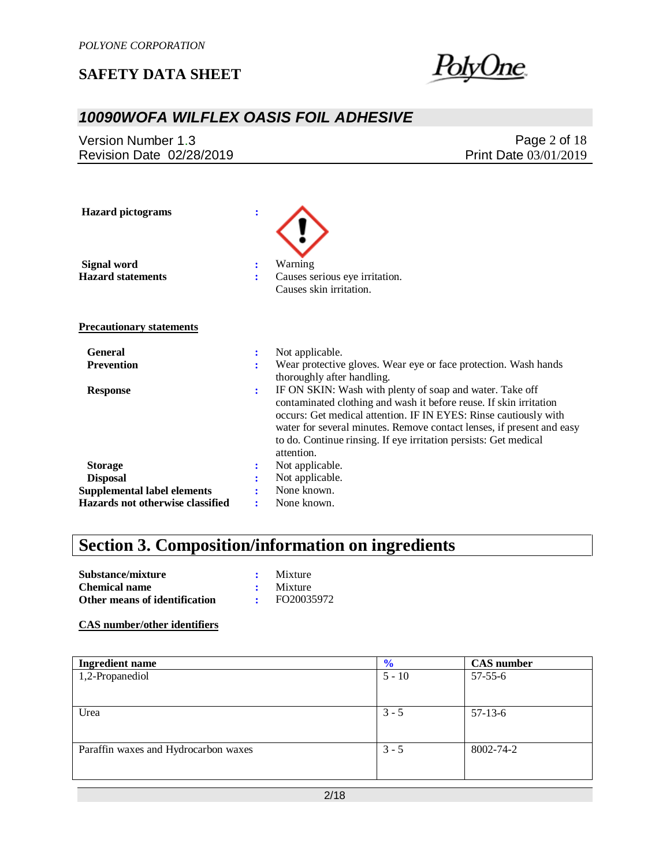

### *10090WOFA WILFLEX OASIS FOIL ADHESIVE*

Version Number 1.3 Revision Date 02/28/2019

Page 2 of 18 Print Date 03/01/2019

| <b>Hazard</b> pictograms           | $\ddot{\cdot}$ |                                                                                                                                                                                                                                                                                                                                                               |
|------------------------------------|----------------|---------------------------------------------------------------------------------------------------------------------------------------------------------------------------------------------------------------------------------------------------------------------------------------------------------------------------------------------------------------|
| Signal word                        | ÷              | Warning                                                                                                                                                                                                                                                                                                                                                       |
| <b>Hazard statements</b>           | ÷              | Causes serious eye irritation.                                                                                                                                                                                                                                                                                                                                |
|                                    |                | Causes skin irritation.                                                                                                                                                                                                                                                                                                                                       |
| <b>Precautionary statements</b>    |                |                                                                                                                                                                                                                                                                                                                                                               |
| <b>General</b>                     | ፡              | Not applicable.                                                                                                                                                                                                                                                                                                                                               |
| <b>Prevention</b>                  | ÷              | Wear protective gloves. Wear eye or face protection. Wash hands<br>thoroughly after handling.                                                                                                                                                                                                                                                                 |
| <b>Response</b>                    | ÷              | IF ON SKIN: Wash with plenty of soap and water. Take off<br>contaminated clothing and wash it before reuse. If skin irritation<br>occurs: Get medical attention. IF IN EYES: Rinse cautiously with<br>water for several minutes. Remove contact lenses, if present and easy<br>to do. Continue rinsing. If eye irritation persists: Get medical<br>attention. |
| <b>Storage</b>                     | ፡              | Not applicable.                                                                                                                                                                                                                                                                                                                                               |
| <b>Disposal</b>                    |                | Not applicable.                                                                                                                                                                                                                                                                                                                                               |
| <b>Supplemental label elements</b> |                | None known.                                                                                                                                                                                                                                                                                                                                                   |
| Hazards not otherwise classified   |                | None known.                                                                                                                                                                                                                                                                                                                                                   |

# **Section 3. Composition/information on ingredients**

| Substance/mixture             | Mixture         |
|-------------------------------|-----------------|
| <b>Chemical name</b>          | $\cdot$ Mixture |
| Other means of identification | FO20035972      |

**CAS number/other identifiers**

| $\frac{6}{6}$ | <b>CAS</b> number |
|---------------|-------------------|
| $5 - 10$      | $57 - 55 - 6$     |
|               |                   |
|               |                   |
| $3 - 5$       | $57-13-6$         |
|               |                   |
|               |                   |
| $3 - 5$       | 8002-74-2         |
|               |                   |
|               |                   |
|               |                   |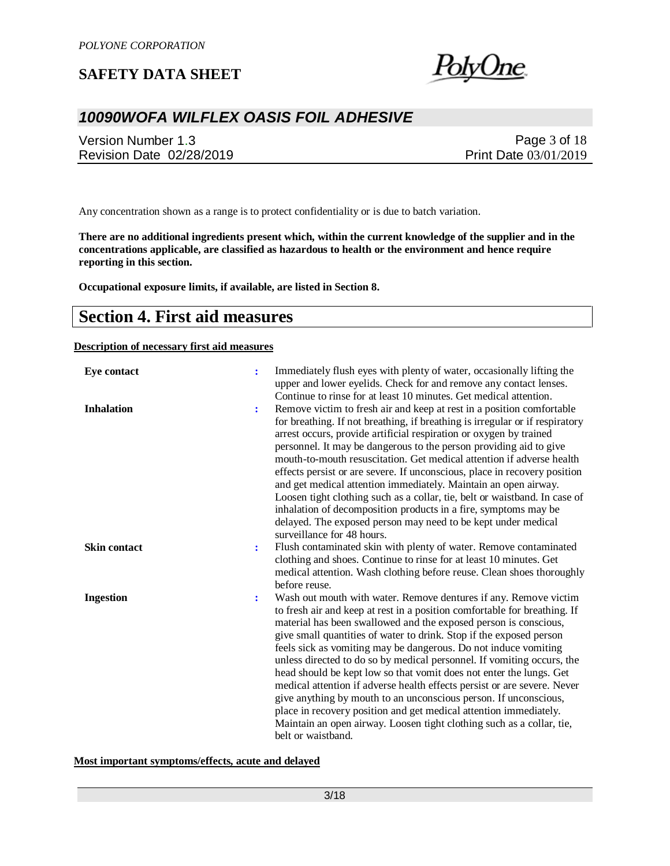

# *10090WOFA WILFLEX OASIS FOIL ADHESIVE*

Version Number 1.3 Revision Date 02/28/2019

Page 3 of 18 Print Date 03/01/2019

Any concentration shown as a range is to protect confidentiality or is due to batch variation.

**There are no additional ingredients present which, within the current knowledge of the supplier and in the concentrations applicable, are classified as hazardous to health or the environment and hence require reporting in this section.**

**Occupational exposure limits, if available, are listed in Section 8.**

### **Section 4. First aid measures**

#### **Description of necessary first aid measures**

| <b>Eye contact</b>  | : | Immediately flush eyes with plenty of water, occasionally lifting the<br>upper and lower eyelids. Check for and remove any contact lenses.<br>Continue to rinse for at least 10 minutes. Get medical attention.                                                                                                                                                                                                                                                                                                                                                                                                                                                                                                                                                                                                                  |
|---------------------|---|----------------------------------------------------------------------------------------------------------------------------------------------------------------------------------------------------------------------------------------------------------------------------------------------------------------------------------------------------------------------------------------------------------------------------------------------------------------------------------------------------------------------------------------------------------------------------------------------------------------------------------------------------------------------------------------------------------------------------------------------------------------------------------------------------------------------------------|
| <b>Inhalation</b>   | ÷ | Remove victim to fresh air and keep at rest in a position comfortable<br>for breathing. If not breathing, if breathing is irregular or if respiratory<br>arrest occurs, provide artificial respiration or oxygen by trained<br>personnel. It may be dangerous to the person providing aid to give<br>mouth-to-mouth resuscitation. Get medical attention if adverse health<br>effects persist or are severe. If unconscious, place in recovery position<br>and get medical attention immediately. Maintain an open airway.<br>Loosen tight clothing such as a collar, tie, belt or waistband. In case of<br>inhalation of decomposition products in a fire, symptoms may be<br>delayed. The exposed person may need to be kept under medical<br>surveillance for 48 hours.                                                       |
| <b>Skin contact</b> | : | Flush contaminated skin with plenty of water. Remove contaminated<br>clothing and shoes. Continue to rinse for at least 10 minutes. Get<br>medical attention. Wash clothing before reuse. Clean shoes thoroughly<br>before reuse.                                                                                                                                                                                                                                                                                                                                                                                                                                                                                                                                                                                                |
| <b>Ingestion</b>    | : | Wash out mouth with water. Remove dentures if any. Remove victim<br>to fresh air and keep at rest in a position comfortable for breathing. If<br>material has been swallowed and the exposed person is conscious,<br>give small quantities of water to drink. Stop if the exposed person<br>feels sick as vomiting may be dangerous. Do not induce vomiting<br>unless directed to do so by medical personnel. If vomiting occurs, the<br>head should be kept low so that vomit does not enter the lungs. Get<br>medical attention if adverse health effects persist or are severe. Never<br>give anything by mouth to an unconscious person. If unconscious,<br>place in recovery position and get medical attention immediately.<br>Maintain an open airway. Loosen tight clothing such as a collar, tie,<br>belt or waistband. |

**Most important symptoms/effects, acute and delayed**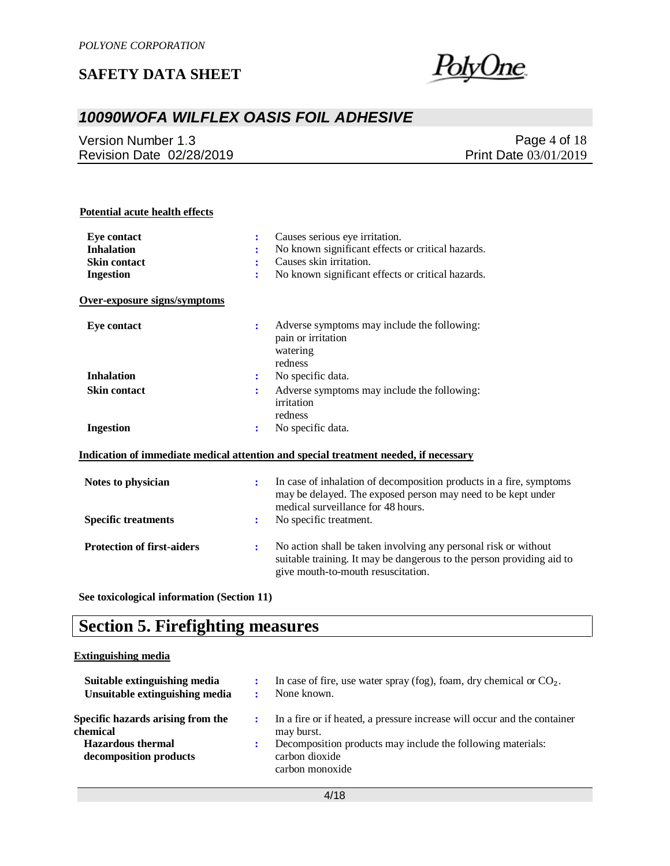

## *10090WOFA WILFLEX OASIS FOIL ADHESIVE*

Version Number 1.3 Revision Date 02/28/2019

Page 4 of 18 Print Date 03/01/2019

#### **Potential acute health effects**

| <b>Eve contact</b>                | ÷              | Causes serious eye irritation.                                                                                                                                                 |
|-----------------------------------|----------------|--------------------------------------------------------------------------------------------------------------------------------------------------------------------------------|
| <b>Inhalation</b>                 |                | No known significant effects or critical hazards.                                                                                                                              |
| <b>Skin contact</b>               | ÷              | Causes skin irritation.                                                                                                                                                        |
| <b>Ingestion</b>                  | ÷              | No known significant effects or critical hazards.                                                                                                                              |
| Over-exposure signs/symptoms      |                |                                                                                                                                                                                |
| Eye contact                       | ÷              | Adverse symptoms may include the following:<br>pain or irritation<br>watering<br>redness                                                                                       |
| <b>Inhalation</b>                 | ÷              | No specific data.                                                                                                                                                              |
| <b>Skin contact</b>               | :              | Adverse symptoms may include the following:<br>irritation<br>redness                                                                                                           |
| <b>Ingestion</b>                  |                | No specific data.                                                                                                                                                              |
|                                   |                | Indication of immediate medical attention and special treatment needed, if necessary                                                                                           |
| Notes to physician                | ÷              | In case of inhalation of decomposition products in a fire, symptoms<br>may be delayed. The exposed person may need to be kept under<br>medical surveillance for 48 hours.      |
| <b>Specific treatments</b>        | $\ddot{\cdot}$ | No specific treatment.                                                                                                                                                         |
| <b>Protection of first-aiders</b> | ÷              | No action shall be taken involving any personal risk or without<br>suitable training. It may be dangerous to the person providing aid to<br>give mouth-to-mouth resuscitation. |

**See toxicological information (Section 11)**

# **Section 5. Firefighting measures**

#### **Extinguishing media**

| Suitable extinguishing media<br>Unsuitable extinguishing media | In case of fire, use water spray (fog), foam, dry chemical or $CO2$ .<br>None known.             |
|----------------------------------------------------------------|--------------------------------------------------------------------------------------------------|
| Specific hazards arising from the<br>chemical                  | In a fire or if heated, a pressure increase will occur and the container<br>may burst.           |
| <b>Hazardous</b> thermal<br>decomposition products             | Decomposition products may include the following materials:<br>carbon dioxide<br>carbon monoxide |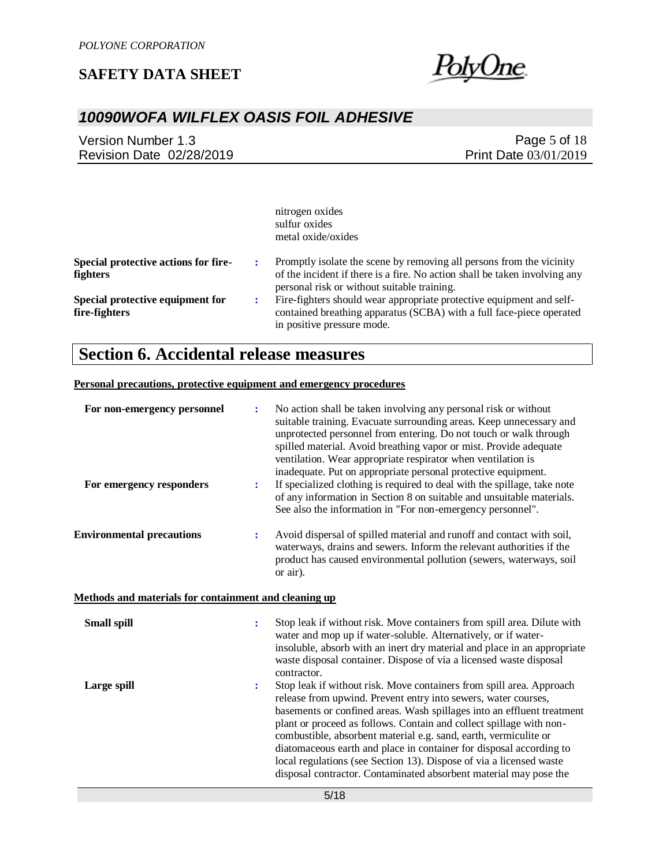

## *10090WOFA WILFLEX OASIS FOIL ADHESIVE*

Version Number 1.3 Revision Date 02/28/2019

Page 5 of 18 Print Date 03/01/2019

|                                                   | nitrogen oxides<br>sulfur oxides<br>metal oxide/oxides                                                                                                                                            |
|---------------------------------------------------|---------------------------------------------------------------------------------------------------------------------------------------------------------------------------------------------------|
| Special protective actions for fire-<br>fighters  | Promptly isolate the scene by removing all persons from the vicinity<br>of the incident if there is a fire. No action shall be taken involving any<br>personal risk or without suitable training. |
| Special protective equipment for<br>fire-fighters | Fire-fighters should wear appropriate protective equipment and self-<br>contained breathing apparatus (SCBA) with a full face-piece operated<br>in positive pressure mode.                        |

# **Section 6. Accidental release measures**

#### **Personal precautions, protective equipment and emergency procedures**

| For non-emergency personnel<br>For emergency responders | ÷<br>$\ddot{\phantom{a}}$                             | No action shall be taken involving any personal risk or without<br>suitable training. Evacuate surrounding areas. Keep unnecessary and<br>unprotected personnel from entering. Do not touch or walk through<br>spilled material. Avoid breathing vapor or mist. Provide adequate<br>ventilation. Wear appropriate respirator when ventilation is<br>inadequate. Put on appropriate personal protective equipment.<br>If specialized clothing is required to deal with the spillage, take note<br>of any information in Section 8 on suitable and unsuitable materials.<br>See also the information in "For non-emergency personnel". |  |  |
|---------------------------------------------------------|-------------------------------------------------------|--------------------------------------------------------------------------------------------------------------------------------------------------------------------------------------------------------------------------------------------------------------------------------------------------------------------------------------------------------------------------------------------------------------------------------------------------------------------------------------------------------------------------------------------------------------------------------------------------------------------------------------|--|--|
| <b>Environmental precautions</b>                        | ÷                                                     | Avoid dispersal of spilled material and runoff and contact with soil,<br>waterways, drains and sewers. Inform the relevant authorities if the<br>product has caused environmental pollution (sewers, waterways, soil<br>or air).                                                                                                                                                                                                                                                                                                                                                                                                     |  |  |
|                                                         | Methods and materials for containment and cleaning up |                                                                                                                                                                                                                                                                                                                                                                                                                                                                                                                                                                                                                                      |  |  |
| Small spill                                             | $\ddot{\cdot}$                                        | Stop leak if without risk. Move containers from spill area. Dilute with<br>water and mop up if water-soluble. Alternatively, or if water-<br>insoluble, absorb with an inert dry material and place in an appropriate<br>waste disposal container. Dispose of via a licensed waste disposal<br>contractor.                                                                                                                                                                                                                                                                                                                           |  |  |
| Large spill                                             | $\ddot{\cdot}$                                        | Stop leak if without risk. Move containers from spill area. Approach<br>release from upwind. Prevent entry into sewers, water courses,<br>basements or confined areas. Wash spillages into an effluent treatment<br>plant or proceed as follows. Contain and collect spillage with non-<br>combustible, absorbent material e.g. sand, earth, vermiculite or<br>diatomaceous earth and place in container for disposal according to<br>local regulations (see Section 13). Dispose of via a licensed waste<br>disposal contractor. Contaminated absorbent material may pose the                                                       |  |  |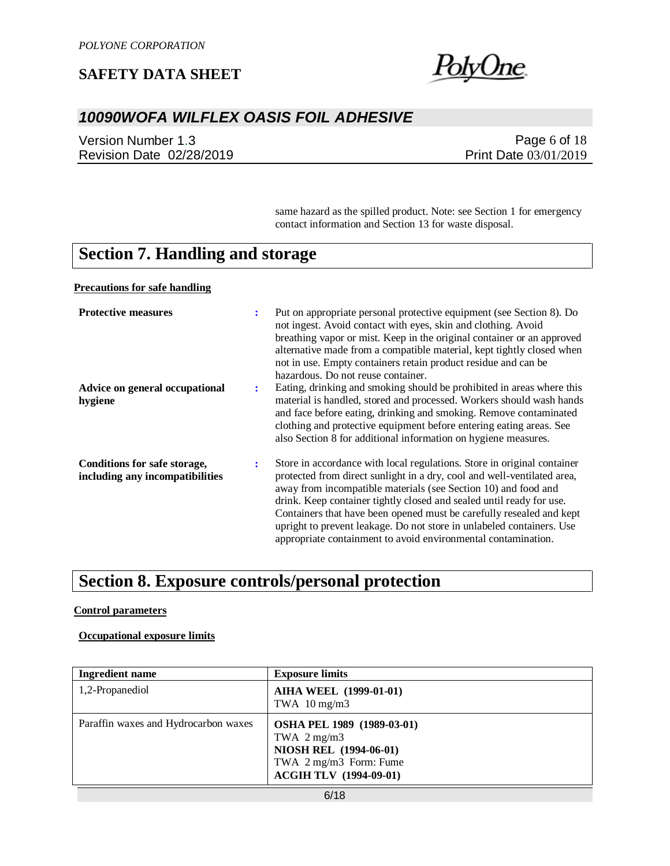

## *10090WOFA WILFLEX OASIS FOIL ADHESIVE*

Version Number 1.3 Revision Date 02/28/2019

Page 6 of 18 Print Date 03/01/2019

same hazard as the spilled product. Note: see Section 1 for emergency contact information and Section 13 for waste disposal.

# **Section 7. Handling and storage**

**Precautions for safe handling**

| <b>Protective measures</b>                                      | ÷  | Put on appropriate personal protective equipment (see Section 8). Do<br>not ingest. Avoid contact with eyes, skin and clothing. Avoid<br>breathing vapor or mist. Keep in the original container or an approved<br>alternative made from a compatible material, kept tightly closed when<br>not in use. Empty containers retain product residue and can be<br>hazardous. Do not reuse container.                                                                                                               |
|-----------------------------------------------------------------|----|----------------------------------------------------------------------------------------------------------------------------------------------------------------------------------------------------------------------------------------------------------------------------------------------------------------------------------------------------------------------------------------------------------------------------------------------------------------------------------------------------------------|
| Advice on general occupational<br>hygiene                       | ٠. | Eating, drinking and smoking should be prohibited in areas where this<br>material is handled, stored and processed. Workers should wash hands<br>and face before eating, drinking and smoking. Remove contaminated<br>clothing and protective equipment before entering eating areas. See<br>also Section 8 for additional information on hygiene measures.                                                                                                                                                    |
| Conditions for safe storage,<br>including any incompatibilities | ÷  | Store in accordance with local regulations. Store in original container<br>protected from direct sunlight in a dry, cool and well-ventilated area,<br>away from incompatible materials (see Section 10) and food and<br>drink. Keep container tightly closed and sealed until ready for use.<br>Containers that have been opened must be carefully resealed and kept<br>upright to prevent leakage. Do not store in unlabeled containers. Use<br>appropriate containment to avoid environmental contamination. |

# **Section 8. Exposure controls/personal protection**

#### **Control parameters**

#### **Occupational exposure limits**

| <b>Ingredient name</b>               | <b>Exposure limits</b>                                                                                                                    |
|--------------------------------------|-------------------------------------------------------------------------------------------------------------------------------------------|
| 1,2-Propanediol                      | <b>AIHA WEEL (1999-01-01)</b><br>TWA $10 \text{ mg/m}$ 3                                                                                  |
| Paraffin waxes and Hydrocarbon waxes | OSHA PEL 1989 (1989-03-01)<br>TWA $2 \text{ mg/m}$ 3<br>NIOSH REL (1994-06-01)<br>TWA 2 mg/m3 Form: Fume<br><b>ACGIH TLV (1994-09-01)</b> |
|                                      | $  -$                                                                                                                                     |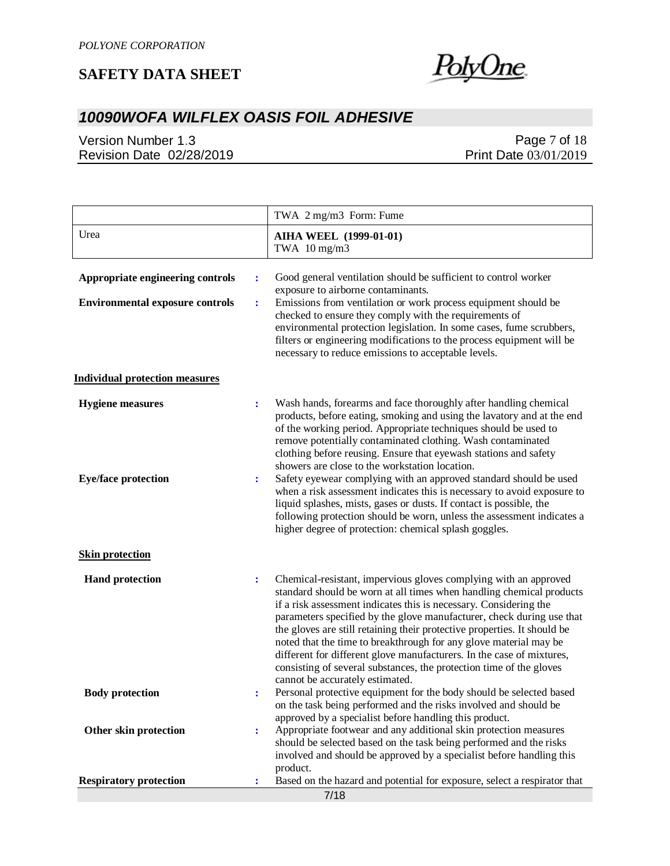

# *10090WOFA WILFLEX OASIS FOIL ADHESIVE*

Version Number 1.3 Revision Date 02/28/2019

### Page 7 of 18 Print Date 03/01/2019

|                                        |                | TWA 2 mg/m3 Form: Fume                                                                                                                                                                                                                                                                                                                                                                                                                                                                                                                                                                                                     |
|----------------------------------------|----------------|----------------------------------------------------------------------------------------------------------------------------------------------------------------------------------------------------------------------------------------------------------------------------------------------------------------------------------------------------------------------------------------------------------------------------------------------------------------------------------------------------------------------------------------------------------------------------------------------------------------------------|
| Urea                                   |                | <b>AIHA WEEL (1999-01-01)</b><br>TWA $10 \text{ mg/m}$ 3                                                                                                                                                                                                                                                                                                                                                                                                                                                                                                                                                                   |
| Appropriate engineering controls       | $\ddot{\cdot}$ | Good general ventilation should be sufficient to control worker<br>exposure to airborne contaminants.                                                                                                                                                                                                                                                                                                                                                                                                                                                                                                                      |
| <b>Environmental exposure controls</b> | $\ddot{\cdot}$ | Emissions from ventilation or work process equipment should be<br>checked to ensure they comply with the requirements of<br>environmental protection legislation. In some cases, fume scrubbers,<br>filters or engineering modifications to the process equipment will be<br>necessary to reduce emissions to acceptable levels.                                                                                                                                                                                                                                                                                           |
| <b>Individual protection measures</b>  |                |                                                                                                                                                                                                                                                                                                                                                                                                                                                                                                                                                                                                                            |
| <b>Hygiene</b> measures                | $\ddot{\cdot}$ | Wash hands, forearms and face thoroughly after handling chemical<br>products, before eating, smoking and using the lavatory and at the end<br>of the working period. Appropriate techniques should be used to<br>remove potentially contaminated clothing. Wash contaminated<br>clothing before reusing. Ensure that eyewash stations and safety<br>showers are close to the workstation location.                                                                                                                                                                                                                         |
| <b>Eye/face protection</b>             | $\ddot{\cdot}$ | Safety eyewear complying with an approved standard should be used<br>when a risk assessment indicates this is necessary to avoid exposure to<br>liquid splashes, mists, gases or dusts. If contact is possible, the<br>following protection should be worn, unless the assessment indicates a<br>higher degree of protection: chemical splash goggles.                                                                                                                                                                                                                                                                     |
| <b>Skin protection</b>                 |                |                                                                                                                                                                                                                                                                                                                                                                                                                                                                                                                                                                                                                            |
| <b>Hand protection</b>                 | $\ddot{\cdot}$ | Chemical-resistant, impervious gloves complying with an approved<br>standard should be worn at all times when handling chemical products<br>if a risk assessment indicates this is necessary. Considering the<br>parameters specified by the glove manufacturer, check during use that<br>the gloves are still retaining their protective properties. It should be<br>noted that the time to breakthrough for any glove material may be<br>different for different glove manufacturers. In the case of mixtures,<br>consisting of several substances, the protection time of the gloves<br>cannot be accurately estimated. |
| <b>Body protection</b>                 | ÷              | Personal protective equipment for the body should be selected based<br>on the task being performed and the risks involved and should be                                                                                                                                                                                                                                                                                                                                                                                                                                                                                    |
| <b>Other skin protection</b>           | $\ddot{\cdot}$ | approved by a specialist before handling this product.<br>Appropriate footwear and any additional skin protection measures<br>should be selected based on the task being performed and the risks<br>involved and should be approved by a specialist before handling this<br>product.                                                                                                                                                                                                                                                                                                                                       |
| <b>Respiratory protection</b>          | ÷              | Based on the hazard and potential for exposure, select a respirator that                                                                                                                                                                                                                                                                                                                                                                                                                                                                                                                                                   |
|                                        |                | 7/18                                                                                                                                                                                                                                                                                                                                                                                                                                                                                                                                                                                                                       |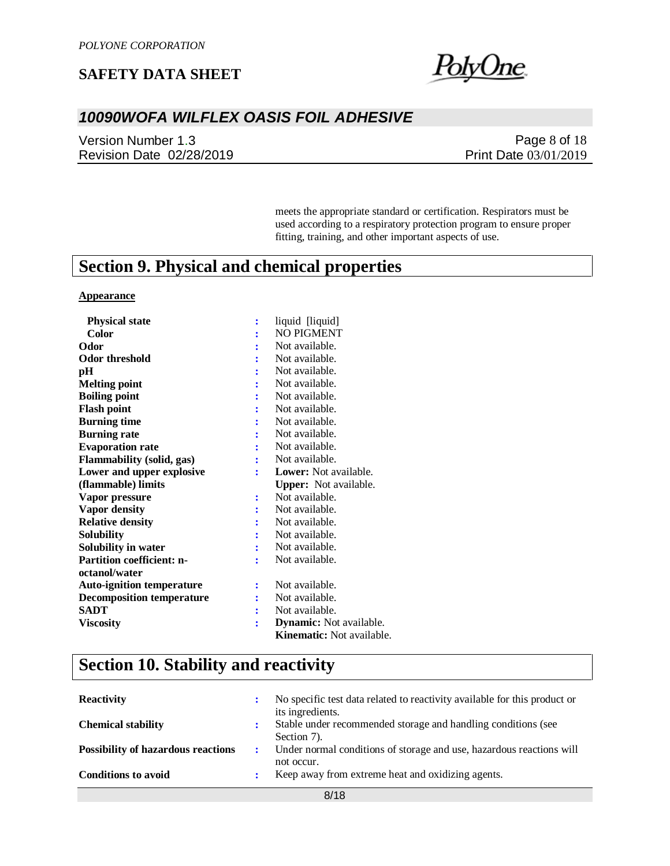

### *10090WOFA WILFLEX OASIS FOIL ADHESIVE*

Version Number 1.3 Revision Date 02/28/2019

Page 8 of 18 Print Date 03/01/2019

meets the appropriate standard or certification. Respirators must be used according to a respiratory protection program to ensure proper fitting, training, and other important aspects of use.

# **Section 9. Physical and chemical properties**

#### **Appearance**

| <b>Physical state</b>            | $\ddot{\phantom{a}}$ | liquid [liquid]                |
|----------------------------------|----------------------|--------------------------------|
| Color                            |                      | <b>NO PIGMENT</b>              |
| Odor                             |                      | Not available.                 |
| <b>Odor threshold</b>            |                      | Not available.                 |
| pН                               |                      | Not available.                 |
| <b>Melting point</b>             |                      | Not available.                 |
| <b>Boiling point</b>             |                      | Not available.                 |
| <b>Flash point</b>               |                      | Not available.                 |
| <b>Burning time</b>              |                      | Not available.                 |
| <b>Burning rate</b>              |                      | Not available.                 |
| <b>Evaporation rate</b>          |                      | Not available.                 |
| <b>Flammability</b> (solid, gas) | $\ddot{\cdot}$       | Not available.                 |
| Lower and upper explosive        |                      | <b>Lower:</b> Not available.   |
| (flammable) limits               |                      | <b>Upper:</b> Not available.   |
| Vapor pressure                   | $\ddot{\cdot}$       | Not available.                 |
| Vapor density                    |                      | Not available.                 |
| <b>Relative density</b>          |                      | Not available.                 |
| <b>Solubility</b>                |                      | Not available.                 |
| Solubility in water              |                      | Not available.                 |
| Partition coefficient: n-        | ÷                    | Not available.                 |
| octanol/water                    |                      |                                |
|                                  |                      |                                |
| <b>Auto-ignition temperature</b> | $\ddot{\cdot}$       | Not available.                 |
| <b>Decomposition temperature</b> |                      | Not available.                 |
| <b>SADT</b>                      | ÷                    | Not available.                 |
| <b>Viscosity</b>                 | $\ddot{\cdot}$       | <b>Dynamic:</b> Not available. |

# **Section 10. Stability and reactivity**

| <b>Reactivity</b>                         | No specific test data related to reactivity available for this product or<br>its ingredients. |
|-------------------------------------------|-----------------------------------------------------------------------------------------------|
| <b>Chemical stability</b>                 | Stable under recommended storage and handling conditions (see<br>Section 7).                  |
| <b>Possibility of hazardous reactions</b> | Under normal conditions of storage and use, hazardous reactions will<br>not occur.            |
| <b>Conditions to avoid</b>                | Keep away from extreme heat and oxidizing agents.                                             |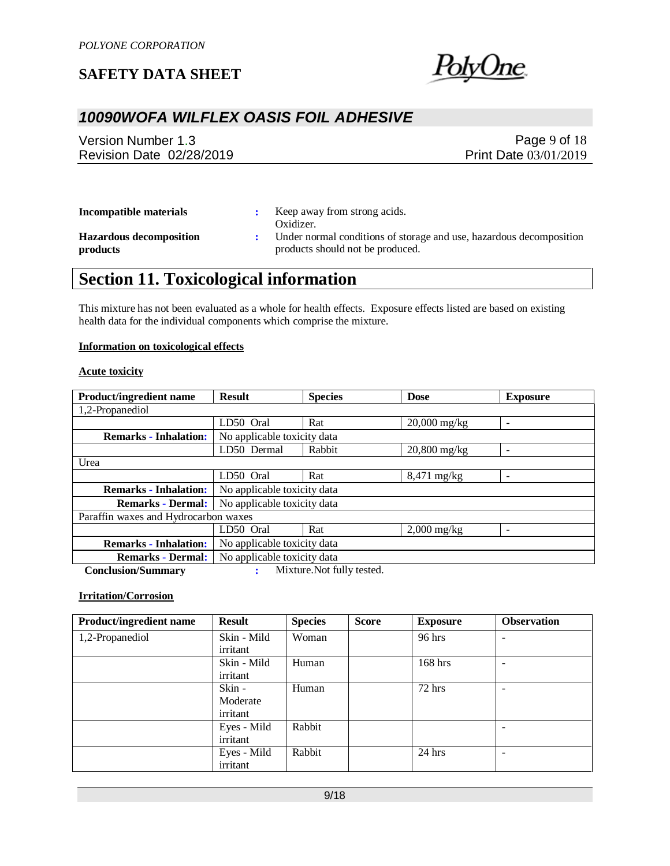

## *10090WOFA WILFLEX OASIS FOIL ADHESIVE*

Version Number 1.3 Revision Date 02/28/2019

Page 9 of 18 Print Date 03/01/2019

| Incompatible materials                     | Keep away from strong acids.<br>Oxidizer.                                                               |
|--------------------------------------------|---------------------------------------------------------------------------------------------------------|
| <b>Hazardous decomposition</b><br>products | Under normal conditions of storage and use, hazardous decomposition<br>products should not be produced. |

# **Section 11. Toxicological information**

This mixture has not been evaluated as a whole for health effects. Exposure effects listed are based on existing health data for the individual components which comprise the mixture.

#### **Information on toxicological effects**

#### **Acute toxicity**

| <b>Product/ingredient name</b>       | <b>Result</b>               | <b>Species</b>              | <b>Dose</b>    | <b>Exposure</b>          |  |  |
|--------------------------------------|-----------------------------|-----------------------------|----------------|--------------------------|--|--|
| 1,2-Propanediol                      |                             |                             |                |                          |  |  |
|                                      | LD50 Oral                   | Rat                         | $20,000$ mg/kg |                          |  |  |
| <b>Remarks - Inhalation:</b>         | No applicable toxicity data |                             |                |                          |  |  |
|                                      | LD50 Dermal                 | Rabbit                      | $20,800$ mg/kg |                          |  |  |
| Urea                                 |                             |                             |                |                          |  |  |
|                                      | LD50 Oral                   | Rat                         | $8,471$ mg/kg  | -                        |  |  |
| <b>Remarks - Inhalation:</b>         |                             | No applicable toxicity data |                |                          |  |  |
| <b>Remarks - Dermal:</b>             | No applicable toxicity data |                             |                |                          |  |  |
| Paraffin waxes and Hydrocarbon waxes |                             |                             |                |                          |  |  |
|                                      | LD50 Oral                   | Rat                         | $2,000$ mg/kg  | $\overline{\phantom{a}}$ |  |  |
| <b>Remarks - Inhalation:</b>         | No applicable toxicity data |                             |                |                          |  |  |
| <b>Remarks - Dermal:</b>             | No applicable toxicity data |                             |                |                          |  |  |
| $C = 1 - 2 - 1C$                     |                             | Mintena Mat Collected       |                |                          |  |  |

 **Conclusion/Summary :** Mixture.Not fully tested.

#### **Irritation/Corrosion**

| <b>Product/ingredient name</b> | <b>Result</b> | <b>Species</b> | <b>Score</b> | <b>Exposure</b> | <b>Observation</b> |
|--------------------------------|---------------|----------------|--------------|-----------------|--------------------|
| 1,2-Propanediol                | Skin - Mild   | Woman          |              | 96 hrs          | -                  |
|                                | irritant      |                |              |                 |                    |
|                                | Skin - Mild   | Human          |              | $168$ hrs       |                    |
|                                | irritant      |                |              |                 |                    |
|                                | Skin -        | Human          |              | $72$ hrs        | -                  |
|                                | Moderate      |                |              |                 |                    |
|                                | irritant      |                |              |                 |                    |
|                                | Eyes - Mild   | Rabbit         |              |                 |                    |
|                                | irritant      |                |              |                 |                    |
|                                | Eyes - Mild   | Rabbit         |              | $24$ hrs        |                    |
|                                | irritant      |                |              |                 |                    |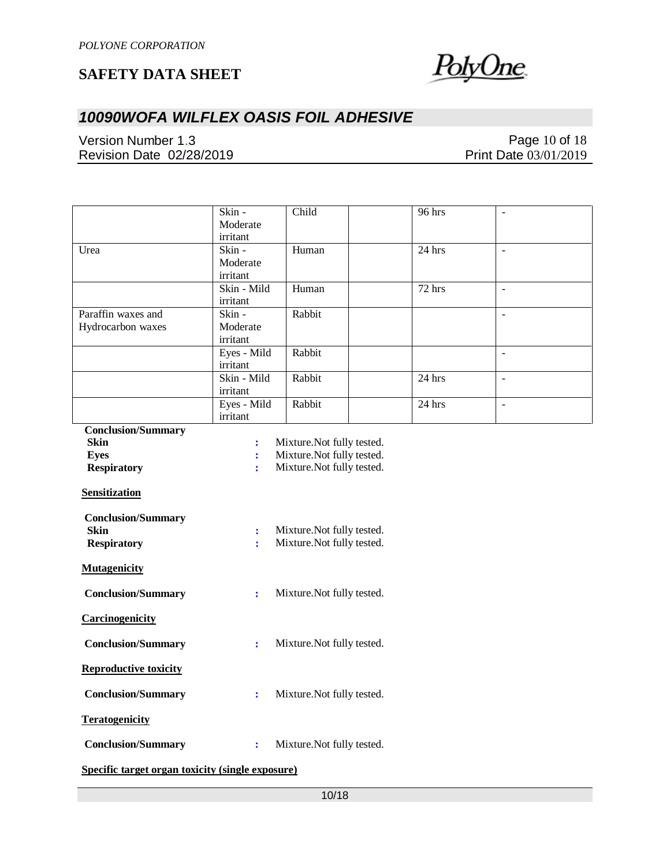

# *10090WOFA WILFLEX OASIS FOIL ADHESIVE*

Version Number 1.3 Revision Date 02/28/2019

Page 10 of 18 Print Date 03/01/2019

| Child<br>96 hrs<br>Skin -<br>$\overline{\phantom{a}}$<br>Moderate<br>irritant<br>$Skin -$<br>Human<br>24 hrs<br>Urea<br>$\omega$<br>Moderate<br>irritant<br>Skin - Mild<br>Human<br>72 hrs<br>$\blacksquare$<br>irritant<br>Paraffin waxes and<br>Skin -<br>Rabbit<br>$\Box$<br>Hydrocarbon waxes<br>Moderate<br>irritant<br>Rabbit<br>Eyes - Mild<br>$\blacksquare$<br>irritant<br>Skin - Mild<br>Rabbit<br>24 hrs<br>$\mathcal{L}$<br>irritant<br>Rabbit<br>Eyes - Mild<br>24 hrs<br>$\blacksquare$<br>irritant<br><b>Conclusion/Summary</b><br><b>Skin</b><br>Mixture. Not fully tested.<br>$\ddot{\cdot}$<br>Mixture. Not fully tested.<br><b>Eyes</b><br>$\ddot{\cdot}$<br><b>Respiratory</b><br>Mixture. Not fully tested.<br>$\ddot{\cdot}$<br><b>Sensitization</b><br><b>Conclusion/Summary</b><br><b>Skin</b><br>Mixture. Not fully tested.<br>$\ddot{\cdot}$<br>Mixture. Not fully tested.<br><b>Respiratory</b><br>÷<br><b>Mutagenicity</b><br><b>Conclusion/Summary</b><br>Mixture. Not fully tested.<br>$\ddot{\cdot}$<br>Carcinogenicity<br><b>Conclusion/Summary</b><br>Mixture. Not fully tested.<br>÷<br><b>Reproductive toxicity</b><br><b>Conclusion/Summary</b><br>Mixture. Not fully tested.<br><b>Teratogenicity</b><br><b>Conclusion/Summary</b><br>Mixture. Not fully tested.<br>$\ddot{\cdot}$<br>Specific target organ toxicity (single exposure) |  |  |  |  |  |
|-----------------------------------------------------------------------------------------------------------------------------------------------------------------------------------------------------------------------------------------------------------------------------------------------------------------------------------------------------------------------------------------------------------------------------------------------------------------------------------------------------------------------------------------------------------------------------------------------------------------------------------------------------------------------------------------------------------------------------------------------------------------------------------------------------------------------------------------------------------------------------------------------------------------------------------------------------------------------------------------------------------------------------------------------------------------------------------------------------------------------------------------------------------------------------------------------------------------------------------------------------------------------------------------------------------------------------------------------------------------------------|--|--|--|--|--|
|                                                                                                                                                                                                                                                                                                                                                                                                                                                                                                                                                                                                                                                                                                                                                                                                                                                                                                                                                                                                                                                                                                                                                                                                                                                                                                                                                                             |  |  |  |  |  |
|                                                                                                                                                                                                                                                                                                                                                                                                                                                                                                                                                                                                                                                                                                                                                                                                                                                                                                                                                                                                                                                                                                                                                                                                                                                                                                                                                                             |  |  |  |  |  |
|                                                                                                                                                                                                                                                                                                                                                                                                                                                                                                                                                                                                                                                                                                                                                                                                                                                                                                                                                                                                                                                                                                                                                                                                                                                                                                                                                                             |  |  |  |  |  |
|                                                                                                                                                                                                                                                                                                                                                                                                                                                                                                                                                                                                                                                                                                                                                                                                                                                                                                                                                                                                                                                                                                                                                                                                                                                                                                                                                                             |  |  |  |  |  |
|                                                                                                                                                                                                                                                                                                                                                                                                                                                                                                                                                                                                                                                                                                                                                                                                                                                                                                                                                                                                                                                                                                                                                                                                                                                                                                                                                                             |  |  |  |  |  |
|                                                                                                                                                                                                                                                                                                                                                                                                                                                                                                                                                                                                                                                                                                                                                                                                                                                                                                                                                                                                                                                                                                                                                                                                                                                                                                                                                                             |  |  |  |  |  |
|                                                                                                                                                                                                                                                                                                                                                                                                                                                                                                                                                                                                                                                                                                                                                                                                                                                                                                                                                                                                                                                                                                                                                                                                                                                                                                                                                                             |  |  |  |  |  |
|                                                                                                                                                                                                                                                                                                                                                                                                                                                                                                                                                                                                                                                                                                                                                                                                                                                                                                                                                                                                                                                                                                                                                                                                                                                                                                                                                                             |  |  |  |  |  |
|                                                                                                                                                                                                                                                                                                                                                                                                                                                                                                                                                                                                                                                                                                                                                                                                                                                                                                                                                                                                                                                                                                                                                                                                                                                                                                                                                                             |  |  |  |  |  |
|                                                                                                                                                                                                                                                                                                                                                                                                                                                                                                                                                                                                                                                                                                                                                                                                                                                                                                                                                                                                                                                                                                                                                                                                                                                                                                                                                                             |  |  |  |  |  |
|                                                                                                                                                                                                                                                                                                                                                                                                                                                                                                                                                                                                                                                                                                                                                                                                                                                                                                                                                                                                                                                                                                                                                                                                                                                                                                                                                                             |  |  |  |  |  |
|                                                                                                                                                                                                                                                                                                                                                                                                                                                                                                                                                                                                                                                                                                                                                                                                                                                                                                                                                                                                                                                                                                                                                                                                                                                                                                                                                                             |  |  |  |  |  |
|                                                                                                                                                                                                                                                                                                                                                                                                                                                                                                                                                                                                                                                                                                                                                                                                                                                                                                                                                                                                                                                                                                                                                                                                                                                                                                                                                                             |  |  |  |  |  |
|                                                                                                                                                                                                                                                                                                                                                                                                                                                                                                                                                                                                                                                                                                                                                                                                                                                                                                                                                                                                                                                                                                                                                                                                                                                                                                                                                                             |  |  |  |  |  |
|                                                                                                                                                                                                                                                                                                                                                                                                                                                                                                                                                                                                                                                                                                                                                                                                                                                                                                                                                                                                                                                                                                                                                                                                                                                                                                                                                                             |  |  |  |  |  |
|                                                                                                                                                                                                                                                                                                                                                                                                                                                                                                                                                                                                                                                                                                                                                                                                                                                                                                                                                                                                                                                                                                                                                                                                                                                                                                                                                                             |  |  |  |  |  |
|                                                                                                                                                                                                                                                                                                                                                                                                                                                                                                                                                                                                                                                                                                                                                                                                                                                                                                                                                                                                                                                                                                                                                                                                                                                                                                                                                                             |  |  |  |  |  |
|                                                                                                                                                                                                                                                                                                                                                                                                                                                                                                                                                                                                                                                                                                                                                                                                                                                                                                                                                                                                                                                                                                                                                                                                                                                                                                                                                                             |  |  |  |  |  |
|                                                                                                                                                                                                                                                                                                                                                                                                                                                                                                                                                                                                                                                                                                                                                                                                                                                                                                                                                                                                                                                                                                                                                                                                                                                                                                                                                                             |  |  |  |  |  |
|                                                                                                                                                                                                                                                                                                                                                                                                                                                                                                                                                                                                                                                                                                                                                                                                                                                                                                                                                                                                                                                                                                                                                                                                                                                                                                                                                                             |  |  |  |  |  |
|                                                                                                                                                                                                                                                                                                                                                                                                                                                                                                                                                                                                                                                                                                                                                                                                                                                                                                                                                                                                                                                                                                                                                                                                                                                                                                                                                                             |  |  |  |  |  |
|                                                                                                                                                                                                                                                                                                                                                                                                                                                                                                                                                                                                                                                                                                                                                                                                                                                                                                                                                                                                                                                                                                                                                                                                                                                                                                                                                                             |  |  |  |  |  |
|                                                                                                                                                                                                                                                                                                                                                                                                                                                                                                                                                                                                                                                                                                                                                                                                                                                                                                                                                                                                                                                                                                                                                                                                                                                                                                                                                                             |  |  |  |  |  |
|                                                                                                                                                                                                                                                                                                                                                                                                                                                                                                                                                                                                                                                                                                                                                                                                                                                                                                                                                                                                                                                                                                                                                                                                                                                                                                                                                                             |  |  |  |  |  |
|                                                                                                                                                                                                                                                                                                                                                                                                                                                                                                                                                                                                                                                                                                                                                                                                                                                                                                                                                                                                                                                                                                                                                                                                                                                                                                                                                                             |  |  |  |  |  |
|                                                                                                                                                                                                                                                                                                                                                                                                                                                                                                                                                                                                                                                                                                                                                                                                                                                                                                                                                                                                                                                                                                                                                                                                                                                                                                                                                                             |  |  |  |  |  |
|                                                                                                                                                                                                                                                                                                                                                                                                                                                                                                                                                                                                                                                                                                                                                                                                                                                                                                                                                                                                                                                                                                                                                                                                                                                                                                                                                                             |  |  |  |  |  |
|                                                                                                                                                                                                                                                                                                                                                                                                                                                                                                                                                                                                                                                                                                                                                                                                                                                                                                                                                                                                                                                                                                                                                                                                                                                                                                                                                                             |  |  |  |  |  |
|                                                                                                                                                                                                                                                                                                                                                                                                                                                                                                                                                                                                                                                                                                                                                                                                                                                                                                                                                                                                                                                                                                                                                                                                                                                                                                                                                                             |  |  |  |  |  |
|                                                                                                                                                                                                                                                                                                                                                                                                                                                                                                                                                                                                                                                                                                                                                                                                                                                                                                                                                                                                                                                                                                                                                                                                                                                                                                                                                                             |  |  |  |  |  |
|                                                                                                                                                                                                                                                                                                                                                                                                                                                                                                                                                                                                                                                                                                                                                                                                                                                                                                                                                                                                                                                                                                                                                                                                                                                                                                                                                                             |  |  |  |  |  |
|                                                                                                                                                                                                                                                                                                                                                                                                                                                                                                                                                                                                                                                                                                                                                                                                                                                                                                                                                                                                                                                                                                                                                                                                                                                                                                                                                                             |  |  |  |  |  |
|                                                                                                                                                                                                                                                                                                                                                                                                                                                                                                                                                                                                                                                                                                                                                                                                                                                                                                                                                                                                                                                                                                                                                                                                                                                                                                                                                                             |  |  |  |  |  |
|                                                                                                                                                                                                                                                                                                                                                                                                                                                                                                                                                                                                                                                                                                                                                                                                                                                                                                                                                                                                                                                                                                                                                                                                                                                                                                                                                                             |  |  |  |  |  |
|                                                                                                                                                                                                                                                                                                                                                                                                                                                                                                                                                                                                                                                                                                                                                                                                                                                                                                                                                                                                                                                                                                                                                                                                                                                                                                                                                                             |  |  |  |  |  |
|                                                                                                                                                                                                                                                                                                                                                                                                                                                                                                                                                                                                                                                                                                                                                                                                                                                                                                                                                                                                                                                                                                                                                                                                                                                                                                                                                                             |  |  |  |  |  |
|                                                                                                                                                                                                                                                                                                                                                                                                                                                                                                                                                                                                                                                                                                                                                                                                                                                                                                                                                                                                                                                                                                                                                                                                                                                                                                                                                                             |  |  |  |  |  |
|                                                                                                                                                                                                                                                                                                                                                                                                                                                                                                                                                                                                                                                                                                                                                                                                                                                                                                                                                                                                                                                                                                                                                                                                                                                                                                                                                                             |  |  |  |  |  |
|                                                                                                                                                                                                                                                                                                                                                                                                                                                                                                                                                                                                                                                                                                                                                                                                                                                                                                                                                                                                                                                                                                                                                                                                                                                                                                                                                                             |  |  |  |  |  |
|                                                                                                                                                                                                                                                                                                                                                                                                                                                                                                                                                                                                                                                                                                                                                                                                                                                                                                                                                                                                                                                                                                                                                                                                                                                                                                                                                                             |  |  |  |  |  |
|                                                                                                                                                                                                                                                                                                                                                                                                                                                                                                                                                                                                                                                                                                                                                                                                                                                                                                                                                                                                                                                                                                                                                                                                                                                                                                                                                                             |  |  |  |  |  |
|                                                                                                                                                                                                                                                                                                                                                                                                                                                                                                                                                                                                                                                                                                                                                                                                                                                                                                                                                                                                                                                                                                                                                                                                                                                                                                                                                                             |  |  |  |  |  |
|                                                                                                                                                                                                                                                                                                                                                                                                                                                                                                                                                                                                                                                                                                                                                                                                                                                                                                                                                                                                                                                                                                                                                                                                                                                                                                                                                                             |  |  |  |  |  |
|                                                                                                                                                                                                                                                                                                                                                                                                                                                                                                                                                                                                                                                                                                                                                                                                                                                                                                                                                                                                                                                                                                                                                                                                                                                                                                                                                                             |  |  |  |  |  |
|                                                                                                                                                                                                                                                                                                                                                                                                                                                                                                                                                                                                                                                                                                                                                                                                                                                                                                                                                                                                                                                                                                                                                                                                                                                                                                                                                                             |  |  |  |  |  |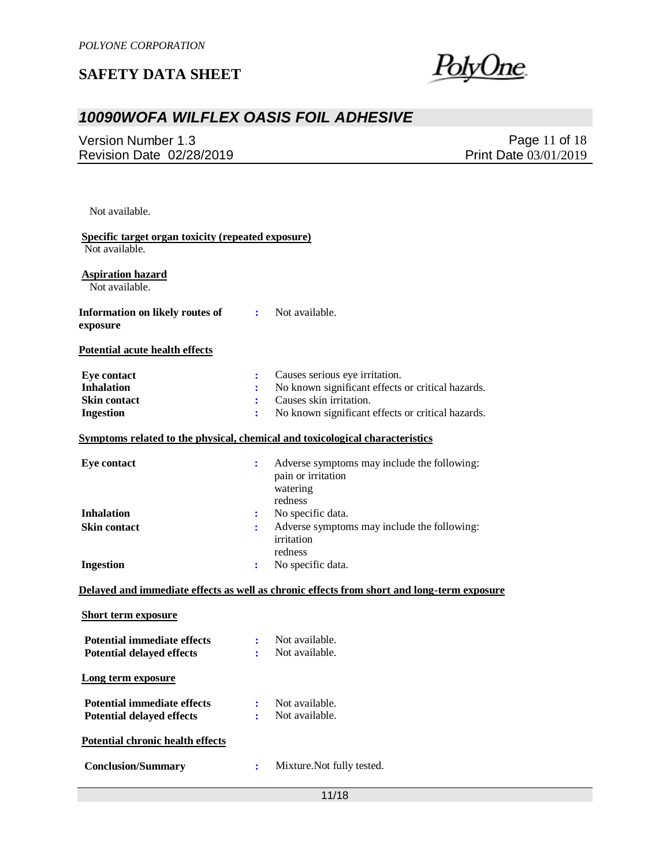

# *10090WOFA WILFLEX OASIS FOIL ADHESIVE*

Version Number 1.3 Revision Date 02/28/2019

Page 11 of 18 Print Date 03/01/2019

Not available.

| Specific target organ toxicity (repeated exposure) |                      |                                                                                            |
|----------------------------------------------------|----------------------|--------------------------------------------------------------------------------------------|
| Not available.                                     |                      |                                                                                            |
| <b>Aspiration hazard</b><br>Not available.         |                      |                                                                                            |
| <b>Information on likely routes of</b><br>exposure |                      | : Not available.                                                                           |
| Potential acute health effects                     |                      |                                                                                            |
| <b>Eye contact</b>                                 | ÷                    | Causes serious eye irritation.                                                             |
| <b>Inhalation</b>                                  | ÷                    | No known significant effects or critical hazards.                                          |
| <b>Skin contact</b>                                | ÷                    | Causes skin irritation.                                                                    |
| <b>Ingestion</b>                                   | ÷                    | No known significant effects or critical hazards.                                          |
|                                                    |                      | Symptoms related to the physical, chemical and toxicological characteristics               |
| <b>Eye contact</b>                                 | $\ddot{\phantom{a}}$ | Adverse symptoms may include the following:<br>pain or irritation<br>watering              |
| <b>Inhalation</b>                                  |                      | redness                                                                                    |
|                                                    | : :                  | No specific data.                                                                          |
| <b>Skin contact</b>                                | $\ddot{\phantom{a}}$ | Adverse symptoms may include the following:                                                |
|                                                    |                      | irritation                                                                                 |
| <b>Ingestion</b>                                   | ÷                    | redness<br>No specific data.                                                               |
|                                                    |                      | Delayed and immediate effects as well as chronic effects from short and long-term exposure |
| <b>Short term exposure</b>                         |                      |                                                                                            |
| <b>Potential immediate effects</b>                 | $\mathbf{L}$         | Not available.                                                                             |
| <b>Potential delayed effects</b>                   | $\mathbf{r}$         | Not available.                                                                             |
| Long term exposure                                 |                      |                                                                                            |
| <b>Potential immediate effects</b>                 | $\ddot{\cdot}$       | Not available.                                                                             |
| <b>Potential delayed effects</b>                   | ÷                    | Not available.                                                                             |
| <b>Potential chronic health effects</b>            |                      |                                                                                            |
| <b>Conclusion/Summary</b>                          | ÷                    | Mixture. Not fully tested.                                                                 |
|                                                    |                      |                                                                                            |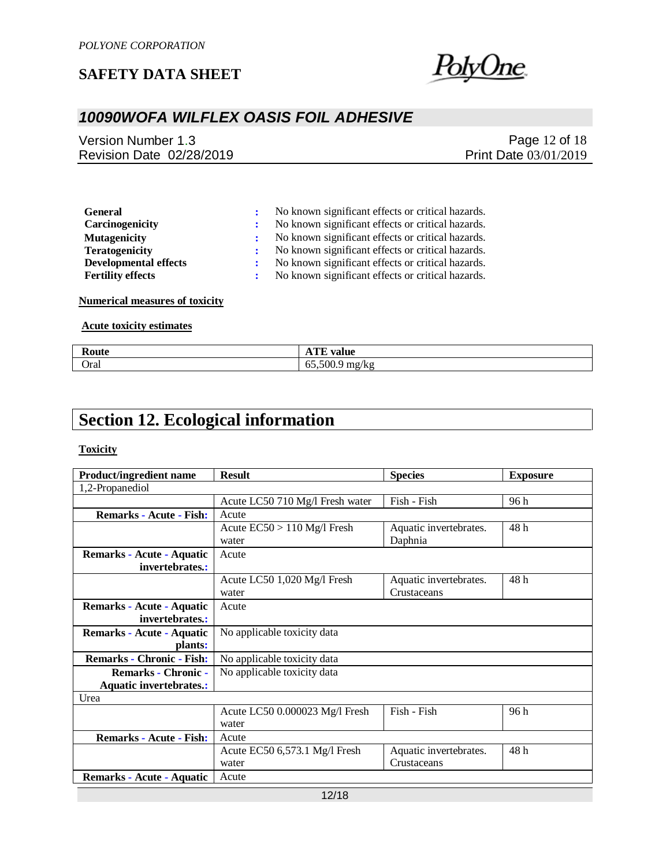

## *10090WOFA WILFLEX OASIS FOIL ADHESIVE*

Version Number 1.3 Revision Date 02/28/2019

Page 12 of 18 Print Date 03/01/2019

| <b>General</b>               | No known significant effects or critical hazards. |
|------------------------------|---------------------------------------------------|
| Carcinogenicity              | No known significant effects or critical hazards. |
| <b>Mutagenicity</b>          | No known significant effects or critical hazards. |
| <b>Teratogenicity</b>        | No known significant effects or critical hazards. |
| <b>Developmental effects</b> | No known significant effects or critical hazards. |
| <b>Fertility effects</b>     | No known significant effects or critical hazards. |

**Numerical measures of toxicity**

#### **Acute toxicity estimates**

| $\sim$<br>,,,,,<br> | <b>TIME</b><br>$\mathbf{v}$<br>valut<br>18.L.          |
|---------------------|--------------------------------------------------------|
| Oral                | 14<br>--<br>$\sim$ 00<br>κ۶<br>mg<br>,,,<br>vv.<br>. . |

# **Section 12. Ecological information**

#### **Toxicity**

| <b>Product/ingredient name</b>   | <b>Result</b>                   | <b>Species</b>         | <b>Exposure</b> |
|----------------------------------|---------------------------------|------------------------|-----------------|
| 1,2-Propanediol                  |                                 |                        |                 |
|                                  | Acute LC50 710 Mg/l Fresh water | Fish - Fish            | 96 h            |
| <b>Remarks - Acute - Fish:</b>   | Acute                           |                        |                 |
|                                  | Acute $EC50 > 110$ Mg/l Fresh   | Aquatic invertebrates. | 48 h            |
|                                  | water                           | Daphnia                |                 |
| Remarks - Acute - Aquatic        | Acute                           |                        |                 |
| invertebrates.:                  |                                 |                        |                 |
|                                  | Acute LC50 1,020 Mg/l Fresh     | Aquatic invertebrates. | 48 h            |
|                                  | water                           | Crustaceans            |                 |
| Remarks - Acute - Aquatic        | Acute                           |                        |                 |
| invertebrates.:                  |                                 |                        |                 |
| Remarks - Acute - Aquatic        | No applicable toxicity data     |                        |                 |
| plants:                          |                                 |                        |                 |
| <b>Remarks - Chronic - Fish:</b> | No applicable toxicity data     |                        |                 |
| <b>Remarks - Chronic -</b>       | No applicable toxicity data     |                        |                 |
| <b>Aquatic invertebrates.:</b>   |                                 |                        |                 |
| Urea                             |                                 |                        |                 |
|                                  | Acute LC50 0.000023 Mg/l Fresh  | Fish - Fish            | 96 h            |
|                                  | water                           |                        |                 |
| <b>Remarks - Acute - Fish:</b>   | Acute                           |                        |                 |
|                                  | Acute EC50 6,573.1 Mg/l Fresh   | Aquatic invertebrates. | 48 h            |
|                                  | water                           | Crustaceans            |                 |
| Remarks - Acute - Aquatic        | Acute                           |                        |                 |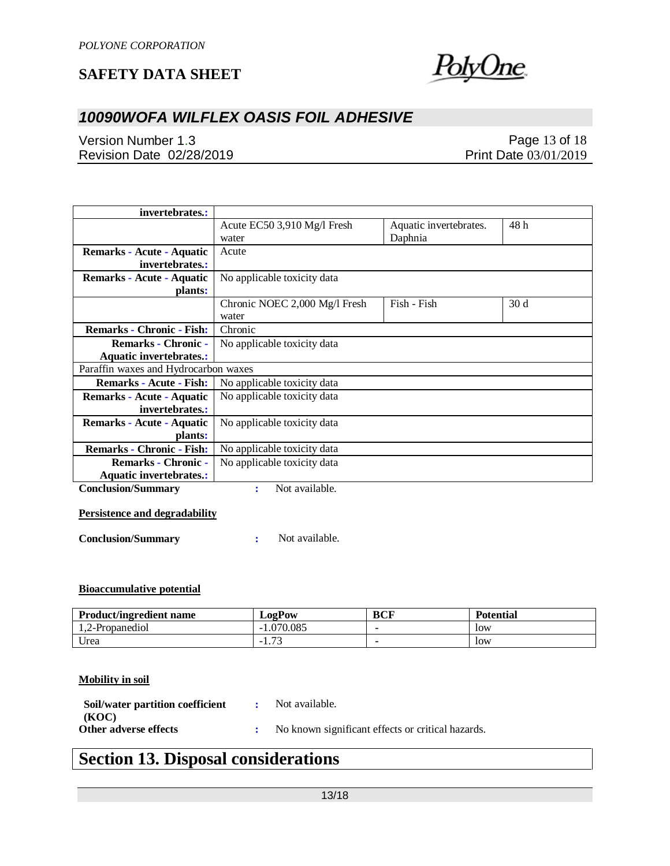

## *10090WOFA WILFLEX OASIS FOIL ADHESIVE*

Version Number 1.3 Revision Date 02/28/2019

Page 13 of 18 Print Date 03/01/2019

| invertebrates.:                                                        |                                        |                                   |      |
|------------------------------------------------------------------------|----------------------------------------|-----------------------------------|------|
|                                                                        | Acute EC50 3,910 Mg/l Fresh<br>water   | Aquatic invertebrates.<br>Daphnia | 48 h |
| Remarks - Acute - Aquatic<br>invertebrates.:                           | Acute                                  |                                   |      |
| Remarks - Acute - Aquatic<br>plants:                                   | No applicable toxicity data            |                                   |      |
|                                                                        | Chronic NOEC 2,000 Mg/l Fresh<br>water | Fish - Fish                       | 30d  |
| <b>Remarks - Chronic - Fish:</b>                                       | Chronic                                |                                   |      |
| <b>Remarks - Chronic -</b>                                             | No applicable toxicity data            |                                   |      |
| <b>Aquatic invertebrates.:</b><br>Paraffin waxes and Hydrocarbon waxes |                                        |                                   |      |
| <b>Remarks - Acute - Fish:</b>                                         | No applicable toxicity data            |                                   |      |
|                                                                        |                                        |                                   |      |
| Remarks - Acute - Aquatic<br>invertebrates:                            | No applicable toxicity data            |                                   |      |
| Remarks - Acute - Aquatic                                              | No applicable toxicity data            |                                   |      |
| plants:                                                                |                                        |                                   |      |
| <b>Remarks - Chronic - Fish:</b>                                       | No applicable toxicity data            |                                   |      |
| <b>Remarks - Chronic -</b><br><b>Aquatic invertebrates.:</b>           | No applicable toxicity data            |                                   |      |
| <b>Conclusion/Summary</b>                                              | Not available.<br>፡                    |                                   |      |

### **Persistence and degradability**

**Conclusion/Summary :** Not available.

#### **Bioaccumulative potential**

| <b>Product/ingredient name</b> | LogPow            | BCF | <b>Potential</b> |
|--------------------------------|-------------------|-----|------------------|
| 1.2-Propanediol                | .070.085          |     | low              |
| Urea                           | $\mathbf{z}$<br>. |     | low              |

#### **Mobility in soil**

| Soil/water partition coefficient | Not available.                                    |
|----------------------------------|---------------------------------------------------|
| (KOC)                            |                                                   |
| Other adverse effects            | No known significant effects or critical hazards. |

# **Section 13. Disposal considerations**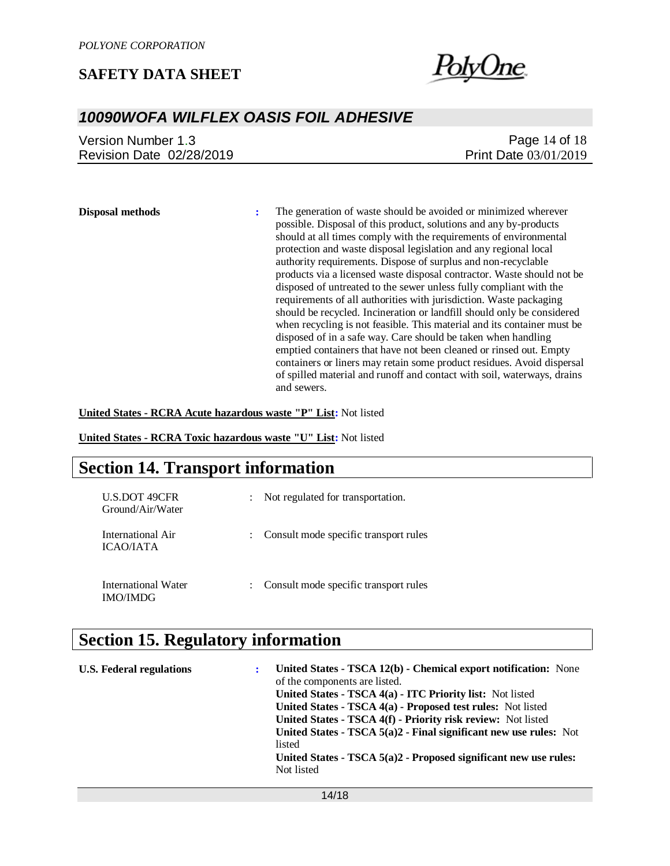

### *10090WOFA WILFLEX OASIS FOIL ADHESIVE*

| Version Number 1.3       | Page 14 of 18                |
|--------------------------|------------------------------|
| Revision Date 02/28/2019 | <b>Print Date 03/01/2019</b> |

**Disposal methods :** The generation of waste should be avoided or minimized wherever possible. Disposal of this product, solutions and any by-products should at all times comply with the requirements of environmental protection and waste disposal legislation and any regional local authority requirements. Dispose of surplus and non-recyclable products via a licensed waste disposal contractor. Waste should not be disposed of untreated to the sewer unless fully compliant with the requirements of all authorities with jurisdiction. Waste packaging should be recycled. Incineration or landfill should only be considered when recycling is not feasible. This material and its container must be disposed of in a safe way. Care should be taken when handling emptied containers that have not been cleaned or rinsed out. Empty containers or liners may retain some product residues. Avoid dispersal of spilled material and runoff and contact with soil, waterways, drains and sewers.

**United States - RCRA Acute hazardous waste "P" List:** Not listed

**United States - RCRA Toxic hazardous waste "U" List:** Not listed

### **Section 14. Transport information**

| <b>U.S.DOT 49CFR</b><br>Ground/Air/Water | $\ddot{\phantom{0}}$ | Not regulated for transportation.     |
|------------------------------------------|----------------------|---------------------------------------|
| International Air<br><b>ICAO/JATA</b>    |                      | Consult mode specific transport rules |
| International Water<br>IMO/IMDG          |                      | Consult mode specific transport rules |

## **Section 15. Regulatory information**

| <b>U.S. Federal regulations</b> | : | United States - TSCA 12(b) - Chemical export notification: None<br>of the components are listed.<br>United States - TSCA 4(a) - ITC Priority list: Not listed<br>United States - TSCA 4(a) - Proposed test rules: Not listed<br>United States - TSCA 4(f) - Priority risk review: Not listed<br>United States - TSCA $5(a)2$ - Final significant new use rules: Not<br>listed<br>United States - TSCA $5(a)2$ - Proposed significant new use rules:<br>Not listed |
|---------------------------------|---|-------------------------------------------------------------------------------------------------------------------------------------------------------------------------------------------------------------------------------------------------------------------------------------------------------------------------------------------------------------------------------------------------------------------------------------------------------------------|
|                                 |   |                                                                                                                                                                                                                                                                                                                                                                                                                                                                   |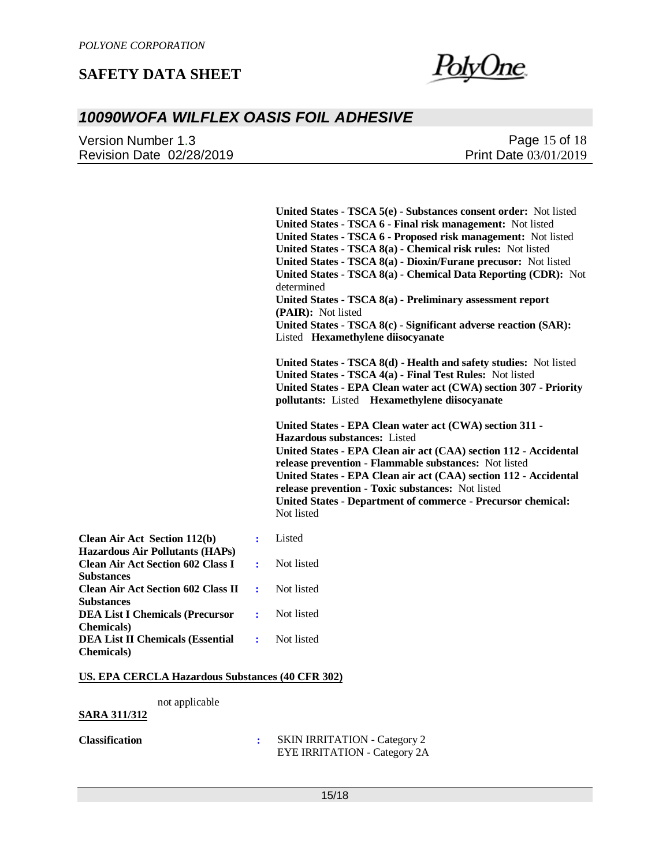

# *10090WOFA WILFLEX OASIS FOIL ADHESIVE*

| Version Number 1.3       | Page 15 of 18                |
|--------------------------|------------------------------|
| Revision Date 02/28/2019 | <b>Print Date 03/01/2019</b> |

|                                                                               |   | United States - TSCA 5(e) - Substances consent order: Not listed<br>United States - TSCA 6 - Final risk management: Not listed<br>United States - TSCA 6 - Proposed risk management: Not listed<br>United States - TSCA 8(a) - Chemical risk rules: Not listed<br>United States - TSCA 8(a) - Dioxin/Furane precusor: Not listed<br>United States - TSCA 8(a) - Chemical Data Reporting (CDR): Not<br>determined<br>United States - TSCA 8(a) - Preliminary assessment report<br>(PAIR): Not listed<br>United States - TSCA 8(c) - Significant adverse reaction (SAR):<br>Listed Hexamethylene diisocyanate |
|-------------------------------------------------------------------------------|---|-------------------------------------------------------------------------------------------------------------------------------------------------------------------------------------------------------------------------------------------------------------------------------------------------------------------------------------------------------------------------------------------------------------------------------------------------------------------------------------------------------------------------------------------------------------------------------------------------------------|
|                                                                               |   | United States - TSCA 8(d) - Health and safety studies: Not listed<br>United States - TSCA 4(a) - Final Test Rules: Not listed<br>United States - EPA Clean water act (CWA) section 307 - Priority<br>pollutants: Listed Hexamethylene diisocyanate                                                                                                                                                                                                                                                                                                                                                          |
|                                                                               |   | United States - EPA Clean water act (CWA) section 311 -<br>Hazardous substances: Listed<br>United States - EPA Clean air act (CAA) section 112 - Accidental<br>release prevention - Flammable substances: Not listed<br>United States - EPA Clean air act (CAA) section 112 - Accidental<br>release prevention - Toxic substances: Not listed<br><b>United States - Department of commerce - Precursor chemical:</b><br>Not listed                                                                                                                                                                          |
| <b>Clean Air Act Section 112(b)</b><br><b>Hazardous Air Pollutants (HAPs)</b> | ÷ | Listed                                                                                                                                                                                                                                                                                                                                                                                                                                                                                                                                                                                                      |
| <b>Clean Air Act Section 602 Class I</b><br><b>Substances</b>                 | ÷ | Not listed                                                                                                                                                                                                                                                                                                                                                                                                                                                                                                                                                                                                  |
| <b>Clean Air Act Section 602 Class II</b><br><b>Substances</b>                | ÷ | Not listed                                                                                                                                                                                                                                                                                                                                                                                                                                                                                                                                                                                                  |
| <b>DEA List I Chemicals (Precursor</b><br><b>Chemicals</b> )                  | ÷ | Not listed                                                                                                                                                                                                                                                                                                                                                                                                                                                                                                                                                                                                  |
| <b>DEA List II Chemicals (Essential</b><br><b>Chemicals</b> )                 | ÷ | Not listed                                                                                                                                                                                                                                                                                                                                                                                                                                                                                                                                                                                                  |

#### **US. EPA CERCLA Hazardous Substances (40 CFR 302)**

not applicable

**SARA 311/312**

**Classification :** SKIN IRRITATION - Category 2 EYE IRRITATION - Category 2A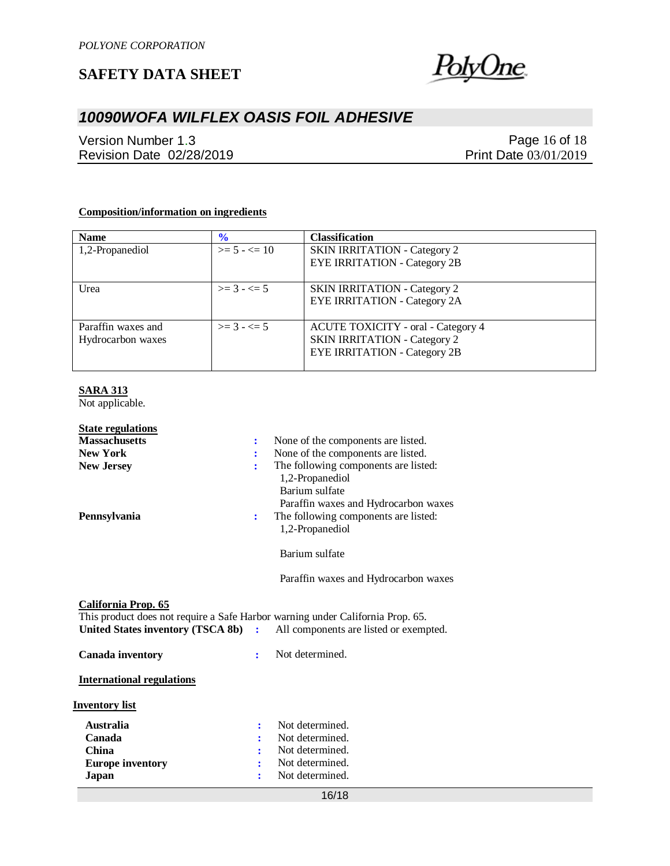

# *10090WOFA WILFLEX OASIS FOIL ADHESIVE*

Version Number 1.3 Revision Date 02/28/2019

Page 16 of 18 Print Date 03/01/2019

#### **Composition/information on ingredients**

| <b>Name</b>        | $\frac{6}{10}$  | <b>Classification</b>                     |
|--------------------|-----------------|-------------------------------------------|
| 1,2-Propanediol    | $>= 5 - \le 10$ | <b>SKIN IRRITATION - Category 2</b>       |
|                    |                 | <b>EYE IRRITATION - Category 2B</b>       |
|                    |                 |                                           |
| Urea               | $>= 3 - 5 = 5$  | <b>SKIN IRRITATION - Category 2</b>       |
|                    |                 | <b>EYE IRRITATION - Category 2A</b>       |
|                    |                 |                                           |
| Paraffin waxes and | $>= 3 - 5$      | <b>ACUTE TOXICITY</b> - oral - Category 4 |
| Hydrocarbon waxes  |                 | <b>SKIN IRRITATION - Category 2</b>       |
|                    |                 | <b>EYE IRRITATION - Category 2B</b>       |
|                    |                 |                                           |

#### **SARA 313**

Not applicable.

| <b>State regulations</b><br><b>Massachusetts</b>                                                                                             | ÷  | None of the components are listed.                                                                                |
|----------------------------------------------------------------------------------------------------------------------------------------------|----|-------------------------------------------------------------------------------------------------------------------|
| <b>New York</b>                                                                                                                              |    | None of the components are listed.                                                                                |
| <b>New Jersey</b>                                                                                                                            | ÷  | The following components are listed:<br>1,2-Propanediol<br>Barium sulfate<br>Paraffin waxes and Hydrocarbon waxes |
| Pennsylvania                                                                                                                                 | ÷  | The following components are listed:<br>1,2-Propanediol                                                           |
|                                                                                                                                              |    | Barium sulfate                                                                                                    |
|                                                                                                                                              |    | Paraffin waxes and Hydrocarbon waxes                                                                              |
| California Prop. 65<br>This product does not require a Safe Harbor warning under California Prop. 65.<br>United States inventory (TSCA 8b) : |    | All components are listed or exempted.                                                                            |
| <b>Canada inventory</b>                                                                                                                      | ÷  | Not determined.                                                                                                   |
| <b>International regulations</b>                                                                                                             |    |                                                                                                                   |
| <b>Inventory list</b>                                                                                                                        |    |                                                                                                                   |
| <b>Australia</b>                                                                                                                             | ٠. | Not determined.                                                                                                   |
| Canada                                                                                                                                       |    | Not determined.                                                                                                   |
| <b>China</b>                                                                                                                                 |    | Not determined.                                                                                                   |
| <b>Europe inventory</b>                                                                                                                      |    | Not determined.                                                                                                   |
| Japan                                                                                                                                        |    | Not determined.                                                                                                   |

16/18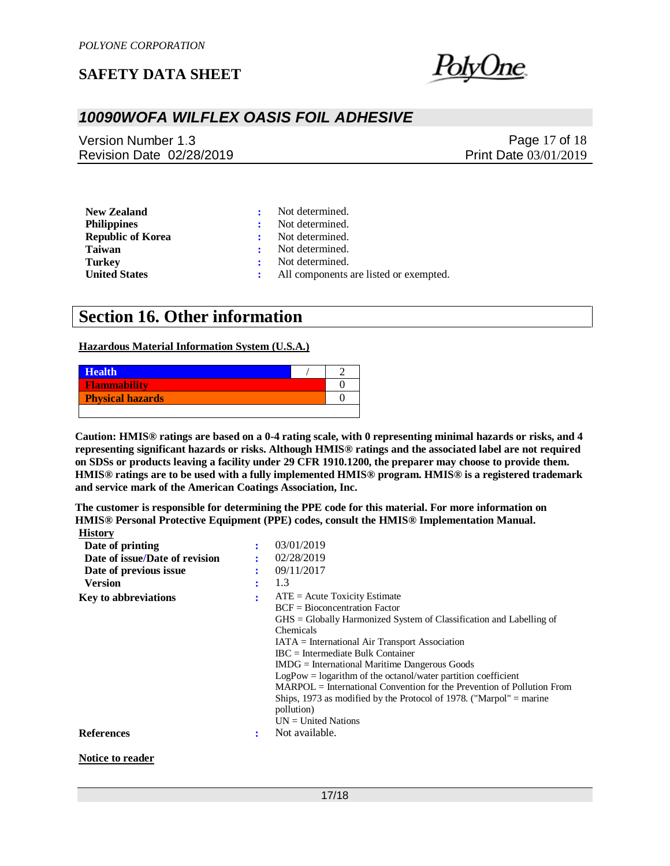

### *10090WOFA WILFLEX OASIS FOIL ADHESIVE*

Version Number 1.3 Revision Date 02/28/2019

Page 17 of 18 Print Date 03/01/2019

| <b>New Zealand</b>                             |              | Not determined.                        |
|------------------------------------------------|--------------|----------------------------------------|
| <b>Philippines</b><br><b>Republic of Korea</b> |              | Not determined.<br>Not determined.     |
| Taiwan                                         |              | Not determined.                        |
| Turkey                                         | $\mathbf{r}$ | Not determined.                        |
| <b>United States</b>                           |              | All components are listed or exempted. |

# **Section 16. Other information**

#### **Hazardous Material Information System (U.S.A.)**

| <b>Health</b>           |  |
|-------------------------|--|
| Flammability            |  |
| <b>Physical hazards</b> |  |
|                         |  |

**Caution: HMIS® ratings are based on a 0-4 rating scale, with 0 representing minimal hazards or risks, and 4 representing significant hazards or risks. Although HMIS® ratings and the associated label are not required on SDSs or products leaving a facility under 29 CFR 1910.1200, the preparer may choose to provide them. HMIS® ratings are to be used with a fully implemented HMIS® program. HMIS® is a registered trademark and service mark of the American Coatings Association, Inc.**

**The customer is responsible for determining the PPE code for this material. For more information on HMIS® Personal Protective Equipment (PPE) codes, consult the HMIS® Implementation Manual. History**

| $\cdots$                       |   |                                                                                                                                                                                                                                                                                                                                                                                                                                                                                                                                                                                              |
|--------------------------------|---|----------------------------------------------------------------------------------------------------------------------------------------------------------------------------------------------------------------------------------------------------------------------------------------------------------------------------------------------------------------------------------------------------------------------------------------------------------------------------------------------------------------------------------------------------------------------------------------------|
| Date of printing               |   | 03/01/2019                                                                                                                                                                                                                                                                                                                                                                                                                                                                                                                                                                                   |
| Date of issue/Date of revision |   | 02/28/2019                                                                                                                                                                                                                                                                                                                                                                                                                                                                                                                                                                                   |
| Date of previous issue         |   | 09/11/2017                                                                                                                                                                                                                                                                                                                                                                                                                                                                                                                                                                                   |
| <b>Version</b>                 | ٠ | 1.3                                                                                                                                                                                                                                                                                                                                                                                                                                                                                                                                                                                          |
| <b>Key to abbreviations</b>    | ÷ | $ATE = Acute Toxicity Estimate$<br>$BCF = Bioconcentration Factor$<br>$\text{GHS} = \text{Globally Harmonized System of Classification and Labelling of}$<br>Chemicals<br>$IATA = International Air Transport Association$<br>$\text{IBC}$ = Intermediate Bulk Container<br>$IMDG = International\,$ Maritime Dangerous Goods<br>$LogPow = logarithm$ of the octanol/water partition coefficient<br>$MARPOL = International Convention for the Prevention of Pollution From$<br>Ships, 1973 as modified by the Protocol of 1978. ("Marpol" $=$ marine<br>pollution)<br>$UN = United Nations$ |
| <b>References</b>              | ٠ | Not available.                                                                                                                                                                                                                                                                                                                                                                                                                                                                                                                                                                               |
| Notice to reader               |   |                                                                                                                                                                                                                                                                                                                                                                                                                                                                                                                                                                                              |